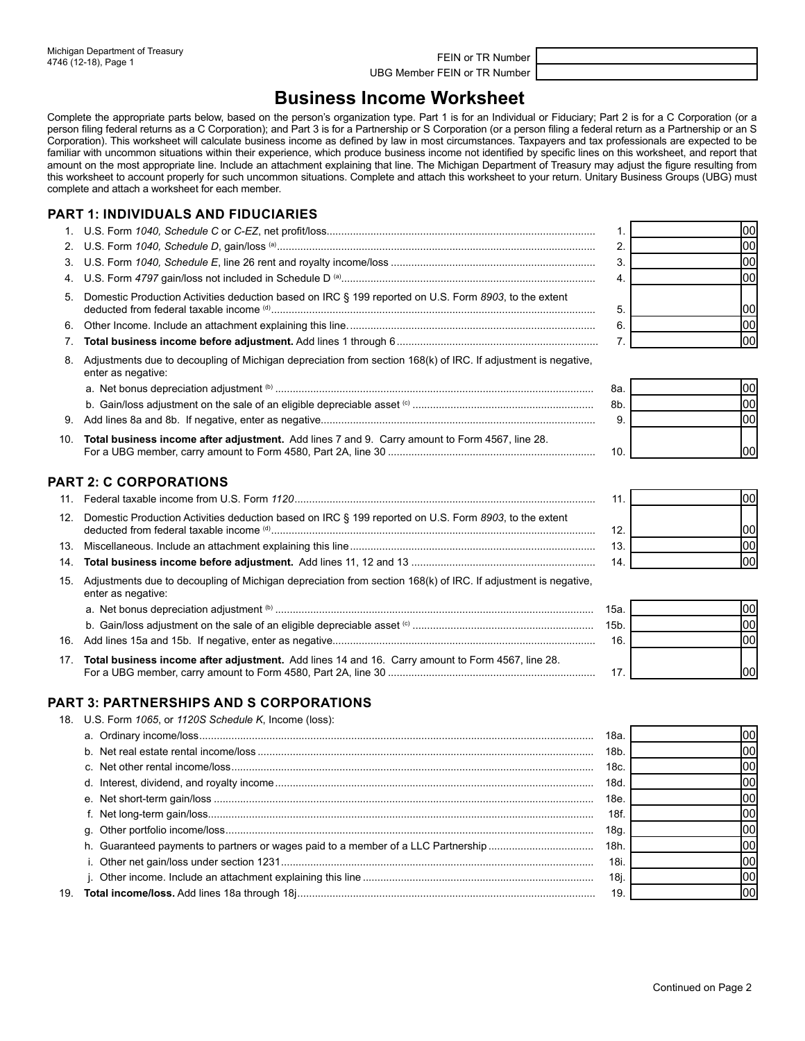UBG Member FEIN or TR Number

# **Business Income Worksheet**

Complete the appropriate parts below, based on the person's organization type. Part 1 is for an Individual or Fiduciary; Part 2 is for a C Corporation (or a person filing federal returns as a C Corporation); and Part 3 is for a Partnership or S Corporation (or a person filing a federal return as a Partnership or an S Corporation). This worksheet will calculate business income as defined by law in most circumstances. Taxpayers and tax professionals are expected to be familiar with uncommon situations within their experience, which produce business income not identified by specific lines on this worksheet, and report that amount on the most appropriate line. Include an attachment explaining that line. The Michigan Department of Treasury may adjust the figure resulting from this worksheet to account properly for such uncommon situations. Complete and attach this worksheet to your return. Unitary Business Groups (UBG) must complete and attach a worksheet for each member.

## **PART 1: INDIVIDUALS AND FIDUCIARIES**

|                                                                                                                                        | 100l |
|----------------------------------------------------------------------------------------------------------------------------------------|------|
|                                                                                                                                        | 00I  |
|                                                                                                                                        | 001  |
|                                                                                                                                        | 001  |
| 5. Domestic Production Activities deduction based on IRC § 199 reported on U.S. Form 8903, to the extent                               | 00l  |
|                                                                                                                                        |      |
|                                                                                                                                        | 00l  |
| 8. Adjustments due to decoupling of Michigan depreciation from section 168(k) of IRC. If adjustment is negative,<br>enter as negative: |      |

|     |                                                                                                | 8а. |  |
|-----|------------------------------------------------------------------------------------------------|-----|--|
|     |                                                                                                | 8b. |  |
|     |                                                                                                |     |  |
| 10. | Total business income after adjustment. Add lines 7 and 9. Carry amount to Form 4567, line 28. | 10. |  |

### **PART 2: C CORPORATIONS**

| 11  |                                                                                                                                     | 11   |  |
|-----|-------------------------------------------------------------------------------------------------------------------------------------|------|--|
| 12. | Domestic Production Activities deduction based on IRC § 199 reported on U.S. Form 8903, to the extent                               | 12.  |  |
|     |                                                                                                                                     | 13   |  |
| 14. |                                                                                                                                     | 14.  |  |
| 15. | Adjustments due to decoupling of Michigan depreciation from section 168(k) of IRC. If adjustment is negative,<br>enter as negative: |      |  |
|     |                                                                                                                                     | 15a. |  |
|     |                                                                                                                                     | 15b. |  |
|     |                                                                                                                                     |      |  |

- 16. Add lines 15a and 15b. If negative, enter as negative.......................................................................................... 16.
- 17. **Total business income after adjustment.** Add lines 14 and 16. Carry amount to Form 4567, line 28. For a UBG member, carry amount to Form 4580, Part 2A, line 30 ....................................................................... 17.

# **PART 3: PARTNERSHIPS AND S CORPORATIONS**

18. U.S. Form *1065*, or *1120S Schedule K*, Income (loss):

|  | 18a.            |  |
|--|-----------------|--|
|  | 18 <sub>b</sub> |  |
|  | 18c.            |  |
|  | 18d.            |  |
|  | 18e.            |  |
|  | 18f.            |  |
|  | 18g.            |  |
|  | 18h.            |  |
|  | 18i.            |  |
|  | 18i.            |  |
|  | 19              |  |
|  |                 |  |

| 4.       | וטט         |
|----------|-------------|
|          | 00          |
| 5.<br>6. | $\sqrt{20}$ |
| 7.       | lос         |
|          |             |
| 8a.      | 0C          |

| 8a. | loo |
|-----|-----|
| 8b. |     |
| 9.  |     |
|     |     |
| 10. | nr  |

| 11. |    |
|-----|----|
|     |    |
| 12. | 00 |
| 13. |    |
| 14. |    |

| 15a.    |  |
|---------|--|
| $15b$ . |  |
| 16.     |  |
|         |  |
| 17      |  |